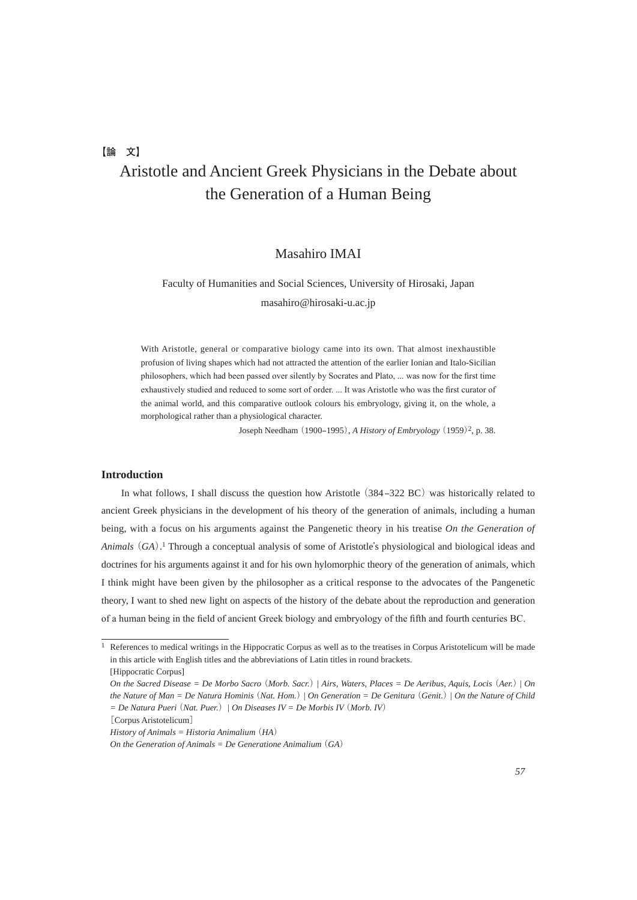**【論 文】**

# Aristotle and Ancient Greek Physicians in the Debate about the Generation of a Human Being

### Masahiro IMAI

## Faculty of Humanities and Social Sciences, University of Hirosaki, Japan masahiro@hirosaki-u.ac.jp

With Aristotle, general or comparative biology came into its own. That almost inexhaustible profusion of living shapes which had not attracted the attention of the earlier Ionian and Italo-Sicilian philosophers, which had been passed over silently by Socrates and Plato, ... was now for the first time exhaustively studied and reduced to some sort of order. ... It was Aristotle who was the first curator of the animal world, and this comparative outlook colours his embryology, giving it, on the whole, a morphological rather than a physiological character.

Joseph Needham (1900–1995), *A History of Embryology* (1959)<sup>2</sup>, p. 38.

#### **Introduction**

In what follows, I shall discuss the question how Aristotle (384–322 BC) was historically related to ancient Greek physicians in the development of his theory of the generation of animals, including a human being, with a focus on his arguments against the Pangenetic theory in his treatise *On the Generation of Animals*(*GA*). 1 Through a conceptual analysis of some of Aristotle's physiological and biological ideas and doctrines for his arguments against it and for his own hylomorphic theory of the generation of animals, which I think might have been given by the philosopher as a critical response to the advocates of the Pangenetic theory, I want to shed new light on aspects of the history of the debate about the reproduction and generation of a human being in the field of ancient Greek biology and embryology of the fifth and fourth centuries BC.

[Corpus Aristotelicum]

*History of Animals = Historia Animalium* (*HA*)

<sup>&</sup>lt;sup>1</sup> References to medical writings in the Hippocratic Corpus as well as to the treatises in Corpus Aristotelicum will be made in this article with English titles and the abbreviations of Latin titles in round brackets. [Hippocratic Corpus]

*On the Sacred Disease = De Morbo Sacro* (*Morb. Sacr.*) *| Airs, Waters, Places = De Aeribus, Aquis, Locis* (*Aer.*) | *On the Nature of Man = De Natura Hominis* (*Nat. Hom.*) *| On Generation = De Genitura* (*Genit.*) *| On the Nature of Child = De Natura Pueri* (*Nat. Puer.*) *| On Diseases IV = De Morbis IV* (*Morb. IV*)

*On the Generation of Animals = De Generatione Animalium*  $(GA)$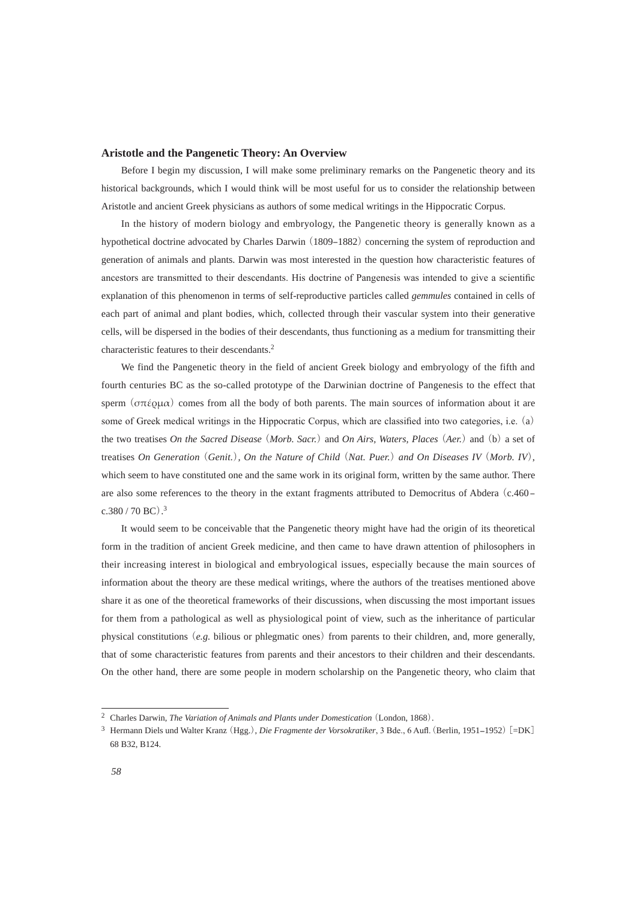#### **Aristotle and the Pangenetic Theory: An Overview**

 Before I begin my discussion, I will make some preliminary remarks on the Pangenetic theory and its historical backgrounds, which I would think will be most useful for us to consider the relationship between Aristotle and ancient Greek physicians as authors of some medical writings in the Hippocratic Corpus.

 In the history of modern biology and embryology, the Pangenetic theory is generally known as a hypothetical doctrine advocated by Charles Darwin (1809–1882) concerning the system of reproduction and generation of animals and plants. Darwin was most interested in the question how characteristic features of ancestors are transmitted to their descendants. His doctrine of Pangenesis was intended to give a scientific explanation of this phenomenon in terms of self-reproductive particles called *gemmules* contained in cells of each part of animal and plant bodies, which, collected through their vascular system into their generative cells, will be dispersed in the bodies of their descendants, thus functioning as a medium for transmitting their characteristic features to their descendants.2

 We find the Pangenetic theory in the field of ancient Greek biology and embryology of the fifth and fourth centuries BC as the so-called prototype of the Darwinian doctrine of Pangenesis to the effect that sperm ( $\sigma\pi\acute{\epsilon}$ ρμα) comes from all the body of both parents. The main sources of information about it are some of Greek medical writings in the Hippocratic Corpus, which are classified into two categories, i.e. (a) the two treatises *On the Sacred Disease* (*Morb. Sacr.*) and *On Airs, Waters, Places* (*Aer.*)and (b) a set of treatises *On Generation* (*Genit.*)*, On the Nature of Child* (*Nat. Puer.*) *and On Diseases IV* (*Morb. IV*), which seem to have constituted one and the same work in its original form, written by the same author. There are also some references to the theory in the extant fragments attributed to Democritus of Abdera (c.460 –  $c.380 / 70$  BC).<sup>3</sup>

 It would seem to be conceivable that the Pangenetic theory might have had the origin of its theoretical form in the tradition of ancient Greek medicine, and then came to have drawn attention of philosophers in their increasing interest in biological and embryological issues, especially because the main sources of information about the theory are these medical writings, where the authors of the treatises mentioned above share it as one of the theoretical frameworks of their discussions, when discussing the most important issues for them from a pathological as well as physiological point of view, such as the inheritance of particular physical constitutions (*e.g.* bilious or phlegmatic ones) from parents to their children, and, more generally, that of some characteristic features from parents and their ancestors to their children and their descendants. On the other hand, there are some people in modern scholarship on the Pangenetic theory, who claim that

<sup>2</sup> Charles Darwin, *The Variation of Animals and Plants under Domestication*(London, 1868).

<sup>&</sup>lt;sup>3</sup> Hermann Diels und Walter Kranz (Hgg.), *Die Fragmente der Vorsokratiker*, 3 Bde., 6 Aufl. (Berlin, 1951–1952) [=DK] 68 B32, B124.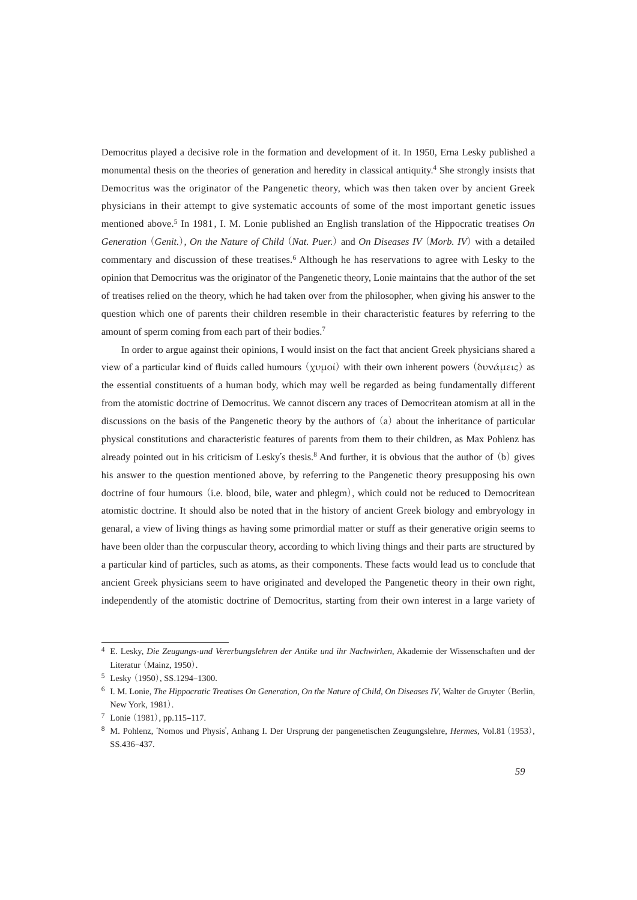Democritus played a decisive role in the formation and development of it. In 1950, Erna Lesky published a monumental thesis on the theories of generation and heredity in classical antiquity.4 She strongly insists that Democritus was the originator of the Pangenetic theory, which was then taken over by ancient Greek physicians in their attempt to give systematic accounts of some of the most important genetic issues mentioned above.<sup>5</sup> In 1981, I. M. Lonie published an English translation of the Hippocratic treatises *On Generation* (*Genit.*)*, On the Nature of Child* (*Nat. Puer.*) and *On Diseases IV* (*Morb. IV*) with a detailed commentary and discussion of these treatises.6 Although he has reservations to agree with Lesky to the opinion that Democritus was the originator of the Pangenetic theory, Lonie maintains that the author of the set of treatises relied on the theory, which he had taken over from the philosopher, when giving his answer to the question which one of parents their children resemble in their characteristic features by referring to the amount of sperm coming from each part of their bodies.7

 In order to argue against their opinions, I would insist on the fact that ancient Greek physicians shared a view of a particular kind of fluids called humours  $(\chi \nu \mu oi)$  with their own inherent powers (δυνάμεις) as the essential constituents of a human body, which may well be regarded as being fundamentally different from the atomistic doctrine of Democritus. We cannot discern any traces of Democritean atomism at all in the discussions on the basis of the Pangenetic theory by the authors of (a) about the inheritance of particular physical constitutions and characteristic features of parents from them to their children, as Max Pohlenz has already pointed out in his criticism of Lesky's thesis.8 And further, it is obvious that the author of (b) gives his answer to the question mentioned above, by referring to the Pangenetic theory presupposing his own doctrine of four humours (i.e. blood, bile, water and phlegm), which could not be reduced to Democritean atomistic doctrine. It should also be noted that in the history of ancient Greek biology and embryology in genaral, a view of living things as having some primordial matter or stuff as their generative origin seems to have been older than the corpuscular theory, according to which living things and their parts are structured by a particular kind of particles, such as atoms, as their components. These facts would lead us to conclude that ancient Greek physicians seem to have originated and developed the Pangenetic theory in their own right, independently of the atomistic doctrine of Democritus, starting from their own interest in a large variety of

<sup>4</sup> E. Lesky, *Die Zeugungs-und Vererbungslehren der Antike und ihr Nachwirken*, Akademie der Wissenschaften und der Literatur (Mainz, 1950).

<sup>5</sup> Lesky (1950), SS.1294-1300.

<sup>6</sup> I. M. Lonie, *The Hippocratic Treatises On Generation, On the Nature of Child, On Diseases IV*, Walter de Gruyter (Berlin, New York, 1981).

 $7$  Lonie (1981), pp.115–117.

<sup>8</sup> M. Pohlenz, ʻNomos und Physis', Anhang I. Der Ursprung der pangenetischen Zeugungslehre, *Hermes*, Vol.81(1953), SS.436-437.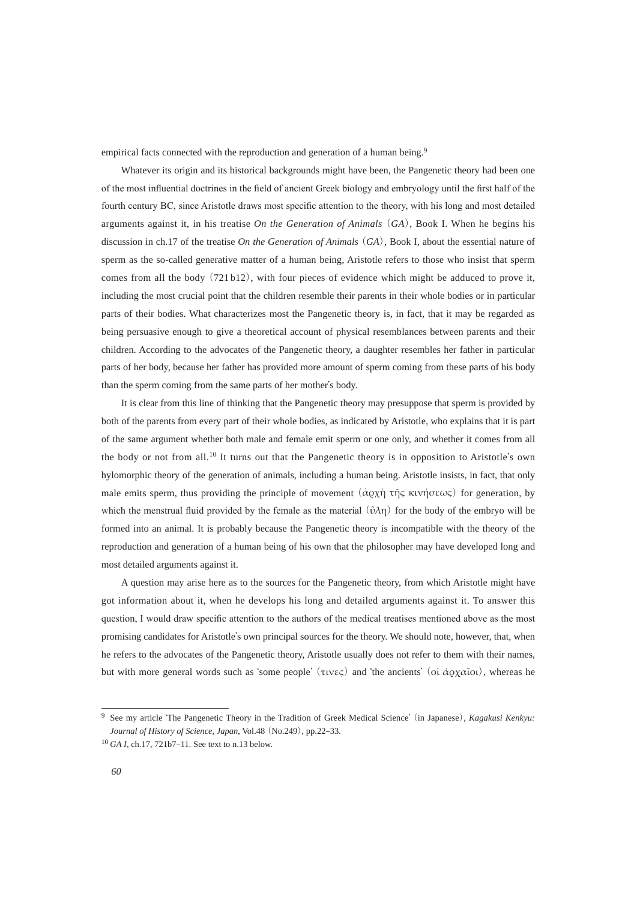empirical facts connected with the reproduction and generation of a human being.<sup>9</sup>

 Whatever its origin and its historical backgrounds might have been, the Pangenetic theory had been one of the most influential doctrines in the field of ancient Greek biology and embryology until the first half of the fourth century BC, since Aristotle draws most specific attention to the theory, with his long and most detailed arguments against it, in his treatise *On the Generation of Animals*(*GA*), Book I. When he begins his discussion in ch.17 of the treatise *On the Generation of Animals*(*GA*), Book I, about the essential nature of sperm as the so-called generative matter of a human being, Aristotle refers to those who insist that sperm comes from all the body (721 b12), with four pieces of evidence which might be adduced to prove it, including the most crucial point that the children resemble their parents in their whole bodies or in particular parts of their bodies. What characterizes most the Pangenetic theory is, in fact, that it may be regarded as being persuasive enough to give a theoretical account of physical resemblances between parents and their children. According to the advocates of the Pangenetic theory, a daughter resembles her father in particular parts of her body, because her father has provided more amount of sperm coming from these parts of his body than the sperm coming from the same parts of her mother's body.

 It is clear from this line of thinking that the Pangenetic theory may presuppose that sperm is provided by both of the parents from every part of their whole bodies, as indicated by Aristotle, who explains that it is part of the same argument whether both male and female emit sperm or one only, and whether it comes from all the body or not from all.10 It turns out that the Pangenetic theory is in opposition to Aristotle's own hylomorphic theory of the generation of animals, including a human being. Aristotle insists, in fact, that only male emits sperm, thus providing the principle of movement  $(\dot{\alpha} \rho \chi \dot{\eta}) \tau \bar{\eta} \varsigma$  ktvήσεως) for generation, by which the menstrual fluid provided by the female as the material  $(\tilde{\nu}\lambda\eta)$  for the body of the embryo will be formed into an animal. It is probably because the Pangenetic theory is incompatible with the theory of the reproduction and generation of a human being of his own that the philosopher may have developed long and most detailed arguments against it.

 A question may arise here as to the sources for the Pangenetic theory, from which Aristotle might have got information about it, when he develops his long and detailed arguments against it. To answer this question, I would draw specific attention to the authors of the medical treatises mentioned above as the most promising candidates for Aristotle's own principal sources for the theory. We should note, however, that, when he refers to the advocates of the Pangenetic theory, Aristotle usually does not refer to them with their names, but with more general words such as 'some people' (τινες) and 'the ancients' (οι άρχαῖοι), whereas he

<sup>9</sup> See my article ʻThe Pangenetic Theory in the Tradition of Greek Medical Science'(in Japanese), *Kagakusi Kenkyu: Journal of History of Science, Japan, Vol.48* (No.249), pp.22-33.

<sup>&</sup>lt;sup>10</sup> *GA I*, ch.17, 721b7–11. See text to n.13 below.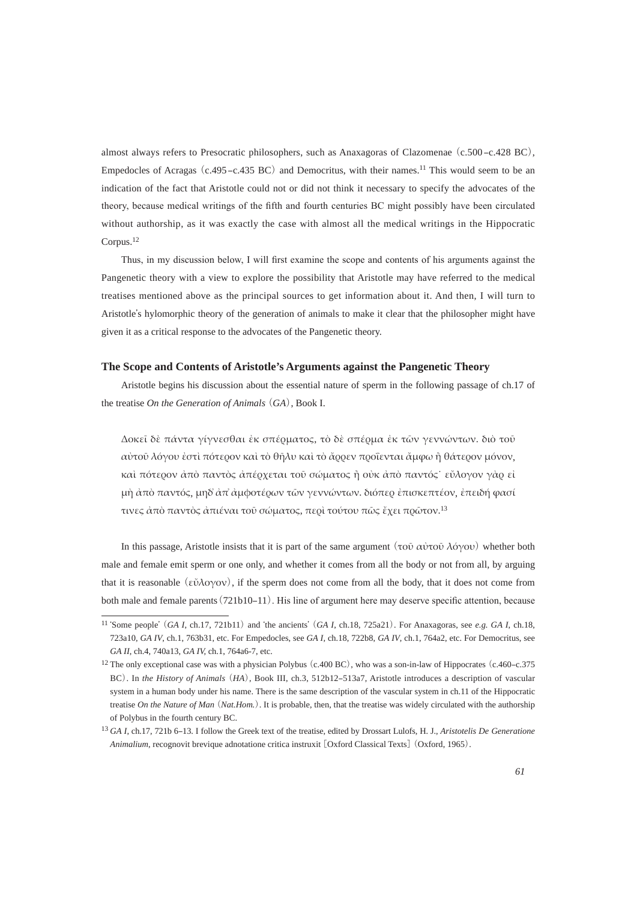almost always refers to Presocratic philosophers, such as Anaxagoras of Clazomenae (c.500-c.428 BC), Empedocles of Acragas  $(c.495 - c.435 \text{ BC})$  and Democritus, with their names.<sup>11</sup> This would seem to be an indication of the fact that Aristotle could not or did not think it necessary to specify the advocates of the theory, because medical writings of the fifth and fourth centuries BC might possibly have been circulated without authorship, as it was exactly the case with almost all the medical writings in the Hippocratic Corpus.12

Thus, in my discussion below, I will first examine the scope and contents of his arguments against the Pangenetic theory with a view to explore the possibility that Aristotle may have referred to the medical treatises mentioned above as the principal sources to get information about it. And then, I will turn to Aristotle's hylomorphic theory of the generation of animals to make it clear that the philosopher might have given it as a critical response to the advocates of the Pangenetic theory.

#### **The Scope and Contents of Aristotle's Arguments against the Pangenetic Theory**

 Aristotle begins his discussion about the essential nature of sperm in the following passage of ch.17 of the treatise *On the Generation of Animals* (*GA*), Book I.

Δοκεῖ δὲ πάντα γίγνεσθαι ἐκ σπέρματος, τὸ δὲ σπέρμα ἐκ τῶν γεννώντων. διὸ τοῦ αύτοῦ λόγου ἐστὶ πότερον καὶ τὸ θῆλυ καὶ τὸ ἄρρεν προΐενται ἄμφω ἢ θάτερον μόνον, και πότερον άπο παντός απέρχεται τοῦ σώματος ή οὐκ από παντός εὖλογον γὰρ εἰ μὴ ἀπὸ παντός, μηδ ἀπ' ἀμφοτέρων τῶν γεννώντων. διόπερ ἐπισκεπτέον, ἐπειδή φασί τινες άπό παντός άπιέναι τοῦ σώματος, περὶ τούτου πῶς ἔχει πρῶτον.<sup>13</sup>

In this passage, Aristotle insists that it is part of the same argument (τοῦ αὐτοῦ λόγου) whether both male and female emit sperm or one only, and whether it comes from all the body or not from all, by arguing that it is reasonable (εύλογον), if the sperm does not come from all the body, that it does not come from both male and female parents (721b10–11). His line of argument here may deserve specific attention, because

<sup>11</sup> ʻSome people'(*GA I*, ch.17, 721b11) and ʻthe ancients'(*GA I*, ch.18, 725a21). For Anaxagoras, see *e.g. GA I*, ch.18, 723a10, *GA IV*, ch.1, 763b31, etc. For Empedocles, see *GA I,* ch.18, 722b8, *GA IV*, ch.1, 764a2, etc. For Democritus, see *GA II*, ch.4, 740a13, *GA IV,* ch.1, 764a6-7, etc.

 $12$  The only exceptional case was with a physician Polybus (c.400 BC), who was a son-in-law of Hippocrates (c.460–c.375 BC). In *the History of Animals* (*HA*), Book III, ch.3, 512b12-513a7, Aristotle introduces a description of vascular system in a human body under his name. There is the same description of the vascular system in ch.11 of the Hippocratic treatise *On the Nature of Man* (*Nat.Hom.*). It is probable, then, that the treatise was widely circulated with the authorship of Polybus in the fourth century BC.

<sup>13</sup>*GA I*, ch.17, 721b 6‒13. I follow the Greek text of the treatise, edited by Drossart Lulofs, H. J., *Aristotelis De Generatione Animalium*, recognovit brevique adnotatione critica instruxit [Oxford Classical Texts](Oxford, 1965).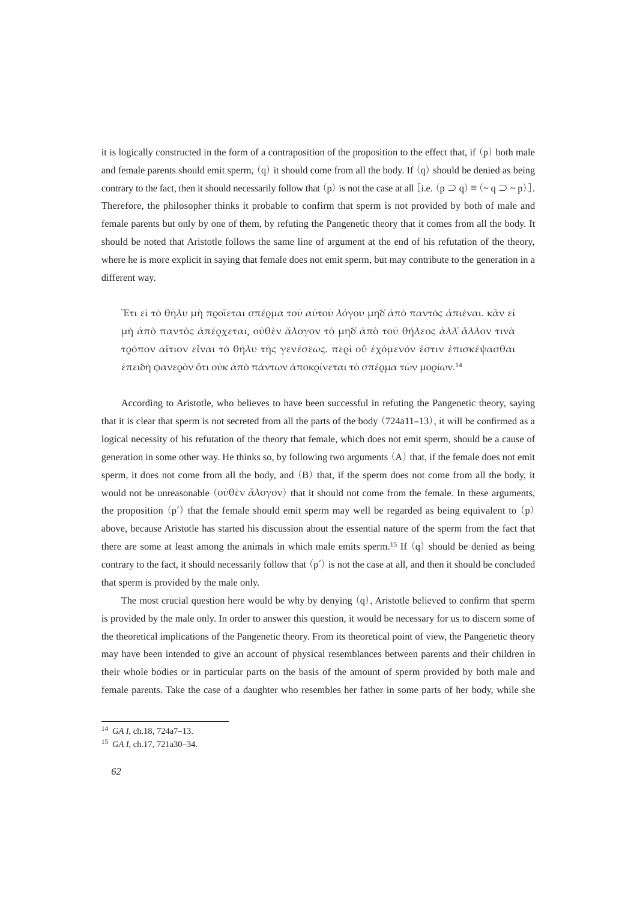it is logically constructed in the form of a contraposition of the proposition to the effect that, if  $(p)$  both male and female parents should emit sperm,  $(q)$  it should come from all the body. If  $(q)$  should be denied as being contrary to the fact, then it should necessarily follow that (p) is not the case at all [i.e. (p  $\supset q$ )  $\equiv (\sim q \supset \sim p)$ ]. Therefore, the philosopher thinks it probable to confirm that sperm is not provided by both of male and female parents but only by one of them, by refuting the Pangenetic theory that it comes from all the body. It should be noted that Aristotle follows the same line of argument at the end of his refutation of the theory, where he is more explicit in saying that female does not emit sperm, but may contribute to the generation in a different way.

"Ετι εί τὸ θῆλυ μὴ προΐεται σπέρμα τοῦ αὐτοῦ λόγου μηδ' ἀπὸ παντὸς ἀπιέναι. κầν εἰ μὴ ἀπὸ παντὸς ἀπέρχεται, οὐθὲν ἄλογον τὸ μηδ' ἀπὸ τοῦ θήλεος ἀλλ' ἄλλον τινὰ τρόπον αίτιον είναι τὸ θῆλυ τῆς γενέσεως. περὶ οὗ ἐχόμενόν ἐστιν ἐπισκέψασθαι έπειδή φανερὸν ὅτι οὐκ ἀπὸ πάντων ἀποκρίνεται τὸ σπέρμα τῶν μορίων.<sup>14</sup>

 According to Aristotle, who believes to have been successful in refuting the Pangenetic theory, saying that it is clear that sperm is not secreted from all the parts of the body  $(724a11-13)$ , it will be confirmed as a logical necessity of his refutation of the theory that female, which does not emit sperm, should be a cause of generation in some other way. He thinks so, by following two arguments (A) that, if the female does not emit sperm, it does not come from all the body, and (B) that, if the sperm does not come from all the body, it would not be unreasonable ( $o\dot{v}θ\dot{v}$   $\dot{\alpha}\lambda o\gamma ov$ ) that it should not come from the female. In these arguments, the proposition  $(p')$  that the female should emit sperm may well be regarded as being equivalent to  $(p)$ above, because Aristotle has started his discussion about the essential nature of the sperm from the fact that there are some at least among the animals in which male emits sperm.<sup>15</sup> If  $(q)$  should be denied as being contrary to the fact, it should necessarily follow that  $(p')$  is not the case at all, and then it should be concluded that sperm is provided by the male only.

The most crucial question here would be why by denying  $(q)$ , Aristotle believed to confirm that sperm is provided by the male only. In order to answer this question, it would be necessary for us to discern some of the theoretical implications of the Pangenetic theory. From its theoretical point of view, the Pangenetic theory may have been intended to give an account of physical resemblances between parents and their children in their whole bodies or in particular parts on the basis of the amount of sperm provided by both male and female parents. Take the case of a daughter who resembles her father in some parts of her body, while she

<sup>&</sup>lt;sup>14</sup> *GA I*, ch.18, 724a7-13.

<sup>15</sup> *GA I*, ch.17, 721a30‒34.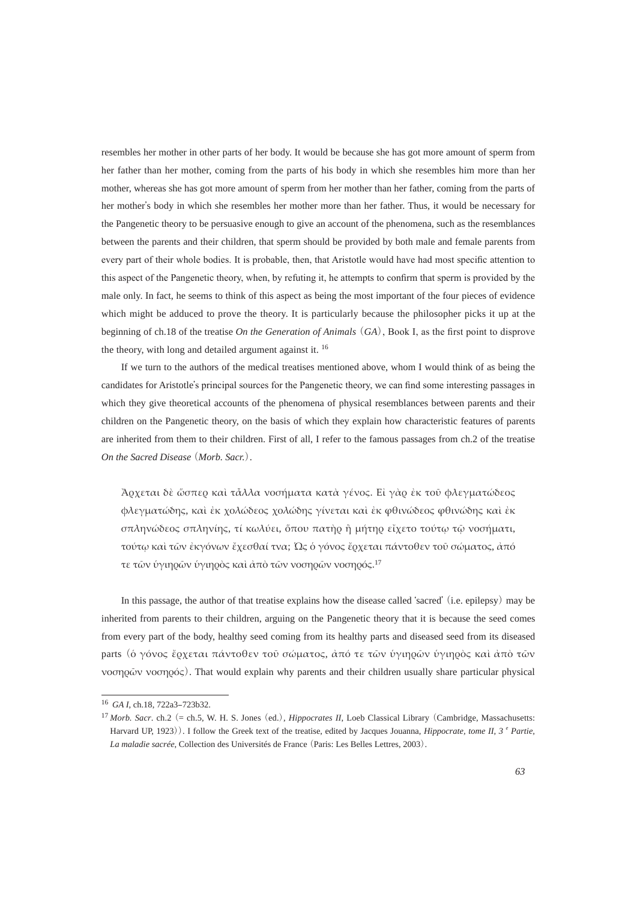resembles her mother in other parts of her body. It would be because she has got more amount of sperm from her father than her mother, coming from the parts of his body in which she resembles him more than her mother, whereas she has got more amount of sperm from her mother than her father, coming from the parts of her mother's body in which she resembles her mother more than her father. Thus, it would be necessary for the Pangenetic theory to be persuasive enough to give an account of the phenomena, such as the resemblances between the parents and their children, that sperm should be provided by both male and female parents from every part of their whole bodies. It is probable, then, that Aristotle would have had most specific attention to this aspect of the Pangenetic theory, when, by refuting it, he attempts to confirm that sperm is provided by the male only. In fact, he seems to think of this aspect as being the most important of the four pieces of evidence which might be adduced to prove the theory. It is particularly because the philosopher picks it up at the beginning of ch.18 of the treatise *On the Generation of Animals* (*GA*), Book I, as the first point to disprove the theory, with long and detailed argument against it. 16

 If we turn to the authors of the medical treatises mentioned above, whom I would think of as being the candidates for Aristotle's principal sources for the Pangenetic theory, we can find some interesting passages in which they give theoretical accounts of the phenomena of physical resemblances between parents and their children on the Pangenetic theory, on the basis of which they explain how characteristic features of parents are inherited from them to their children. First of all, I refer to the famous passages from ch.2 of the treatise *On the Sacred Disease* (*Morb. Sacr.*).

<u>Ἀρχεται δὲ ὥσπερ καὶ τἆλλα νοσήματα κατὰ γένος. Εἰ γὰρ ἐκ τοῦ φλεγματώδεος</u> φλεγματώδης, καὶ ἐκ χολώδεος χολώδης γίνεται καὶ ἐκ φθινώδεος φθινώδης καὶ ἐκ σπληνώδεος σπληνίης, τί κωλύει, όπου πατήρ ή μήτηρ είχετο τούτω τῷ νοσήματι, τούτω καὶ τῶν ἐκγόνων ἔχεσθαί τνα; Ώς ὁ γόνος ἔοχεται πάντοθεν τοῦ σώματος, ἀπό τε τῶν ὑγιηρῶν ὑγιηρὸς καὶ ἀπὸ τῶν νοσηρῶν νοσηρός.<sup>17</sup>

In this passage, the author of that treatise explains how the disease called 'sacred' (i.e. epilepsy) may be inherited from parents to their children, arguing on the Pangenetic theory that it is because the seed comes from every part of the body, healthy seed coming from its healthy parts and diseased seed from its diseased parts (δ γόνος ἔρχεται πάντοθεν τοῦ σώματος, ἀπό τε τῶν ύγιηρῶν ὑγιηρὸς καὶ ἀπὸ τῶν  $\alpha$ <sub>γ</sub> ( $\alpha$ ). That would explain why parents and their children usually share particular physical

<sup>&</sup>lt;sup>16</sup> GA I, ch.18, 722a3-723b32.

<sup>17</sup>*Morb. Sacr*. ch.2 (= ch.5, W. H. S. Jones (ed.), *Hippocrates II*, Loeb Classical Library (Cambridge, Massachusetts: Harvard UP, 1923)). I follow the Greek text of the treatise, edited by Jacques Jouanna, *Hippocrate, tome II, 3<sup>e</sup> Partie, La maladie sacrée*, Collection des Universités de France (Paris: Les Belles Lettres, 2003).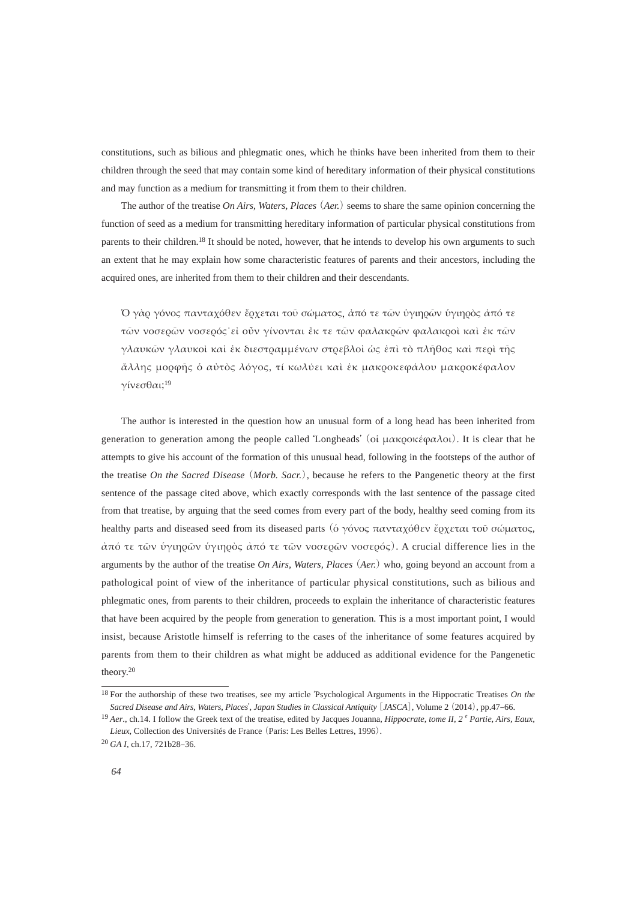constitutions, such as bilious and phlegmatic ones, which he thinks have been inherited from them to their children through the seed that may contain some kind of hereditary information of their physical constitutions and may function as a medium for transmitting it from them to their children.

 The author of the treatise *On Airs, Waters, Places* (*Aer.*) seems to share the same opinion concerning the function of seed as a medium for transmitting hereditary information of particular physical constitutions from parents to their children.<sup>18</sup> It should be noted, however, that he intends to develop his own arguments to such an extent that he may explain how some characteristic features of parents and their ancestors, including the acquired ones, are inherited from them to their children and their descendants.

Ό γὰρ γόνος πανταχόθεν ἔρχεται τοῦ σώματος, ἀπό τε τῶν ὑγιηρῶν ὑγιηρὸς ἀπό τε τῶν νοσερῶν νοσερός εἰ οὐν γίνονται ἔκ τε τῶν φαλακρῶν φαλακροὶ καὶ ἐκ τῶν γλαυκῶν γλαυκοὶ καὶ ἐκ διεστραμμένων στρεβλοὶ ώς ἐπὶ τὸ πλῆθος καὶ περὶ τῆς άλλης μορφῆς ὁ αὐτὸς λόγος, τί κωλύει καὶ ἐκ μακροκεφάλου μακροκέφαλον γίνεσθαι;<sup>19</sup>

 The author is interested in the question how an unusual form of a long head has been inherited from generation to generation among the people called 'Longheads' (οι μακροκέφαλοι). It is clear that he attempts to give his account of the formation of this unusual head, following in the footsteps of the author of the treatise *On the Sacred Disease* (*Morb. Sacr.*), because he refers to the Pangenetic theory at the first sentence of the passage cited above, which exactly corresponds with the last sentence of the passage cited from that treatise, by arguing that the seed comes from every part of the body, healthy seed coming from its healthy parts and diseased seed from its diseased parts (ό γόνος πανταχόθεν έρχεται τοῦ σώματος, άπό τε τῶν ὑγιηρῶν ὑγιηρὸς ἀπό τε τῶν νοσερῶν νοσερός). A crucial difference lies in the arguments by the author of the treatise *On Airs, Waters, Places* (*Aer.*) who, going beyond an account from a pathological point of view of the inheritance of particular physical constitutions, such as bilious and phlegmatic ones, from parents to their children, proceeds to explain the inheritance of characteristic features that have been acquired by the people from generation to generation. This is a most important point, I would insist, because Aristotle himself is referring to the cases of the inheritance of some features acquired by parents from them to their children as what might be adduced as additional evidence for the Pangenetic theory.20

<sup>18</sup> For the authorship of these two treatises, see my article ʻPsychological Arguments in the Hippocratic Treatises *On the Sacred Disease and Airs, Waters, Places*'*, Japan Studies in Classical Antiquity* [*JASCA*], Volume 2 (2014), pp.47‒66.

<sup>&</sup>lt;sup>19</sup> *Aer.*, ch.14. I follow the Greek text of the treatise, edited by Jacques Jouanna, *Hippocrate, tome II, 2<sup>e</sup> Partie, Airs, Eaux, Lieux*, Collection des Universités de France (Paris: Les Belles Lettres, 1996).

<sup>20</sup> *GA I*, ch.17, 721b28‒36.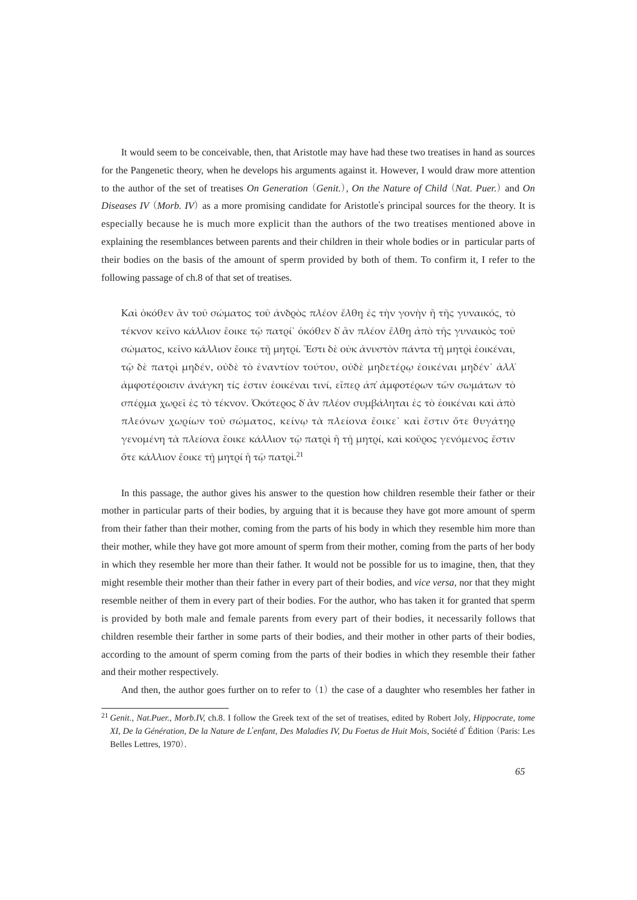It would seem to be conceivable, then, that Aristotle may have had these two treatises in hand as sources for the Pangenetic theory, when he develops his arguments against it. However, I would draw more attention to the author of the set of treatises *On Generation* (*Genit.*)*, On the Nature of Child* (*Nat. Puer.*)and *On Diseases IV* (*Morb. IV*) as a more promising candidate for Aristotle's principal sources for the theory. It is especially because he is much more explicit than the authors of the two treatises mentioned above in explaining the resemblances between parents and their children in their whole bodies or in particular parts of their bodies on the basis of the amount of sperm provided by both of them. To confirm it, I refer to the following passage of ch.8 of that set of treatises.

Και δκόθεν ἂν τοῦ σώματος τοῦ ἀνδρὸς πλέον ἔλθη ἐς την γονην ή της γυναικός, τὸ τέκνον κείνο κάλλιον ἔοικε τῷ πατρί οκόθεν δ' ἀν πλέον ἔλθη ἀπὸ τῆς γυναικὸς τοῦ σώματος, κείνο κάλλιον έοικε τη μητοί. Έστι δε οὐκ ανυστὸν πάντα τη μητοί εοικέναι, τῷ δὲ πατρί μηδέν, ούδὲ τὸ ἐναντίον τούτου, ούδὲ μηδετέρφ ἐοικέναι μηδέν' ἀλλ' άμφοτέροισιν ανάγκη τίς εστιν εοικέναι τινί, εἴπερ απ' αμφοτέρων τῶν σωμάτων τὸ σπέρμα χωρεΐ ές τὸ τέκνον. Όκότερος δ' άν πλέον συμβάληται ές τὸ ἐοικέναι καὶ ἀπὸ πλεόνων χωρίων τοῦ σώματος, κείνω τὰ πλείονα ἔοικε˙ καὶ ἔστιν ὅτε θυγάτηρ γενομένη τὰ πλείονα ἔοικε κάλλιον τῷ πατρὶ ἢ τῆ μητρί, καὶ κοῦρος γενόμενος ἔστιν ότε κάλλιον έοικε τη μητρί ή τω πατρί.<sup>21</sup>

 In this passage, the author gives his answer to the question how children resemble their father or their mother in particular parts of their bodies, by arguing that it is because they have got more amount of sperm from their father than their mother, coming from the parts of his body in which they resemble him more than their mother, while they have got more amount of sperm from their mother, coming from the parts of her body in which they resemble her more than their father. It would not be possible for us to imagine, then, that they might resemble their mother than their father in every part of their bodies, and *vice versa,* nor that they might resemble neither of them in every part of their bodies. For the author, who has taken it for granted that sperm is provided by both male and female parents from every part of their bodies, it necessarily follows that children resemble their farther in some parts of their bodies, and their mother in other parts of their bodies, according to the amount of sperm coming from the parts of their bodies in which they resemble their father and their mother respectively.

And then, the author goes further on to refer to  $(1)$  the case of a daughter who resembles her father in

<sup>21</sup> *Genit., Nat.Puer., Morb.IV,* ch.8. I follow the Greek text of the set of treatises, edited by Robert Joly*, Hippocrate, tome XI, De la Génération, De la Nature de L*'*enfant, Des Maladies IV, Du Foetus de Huit Mois,* Société d' Édition (Paris: Les Belles Lettres, 1970).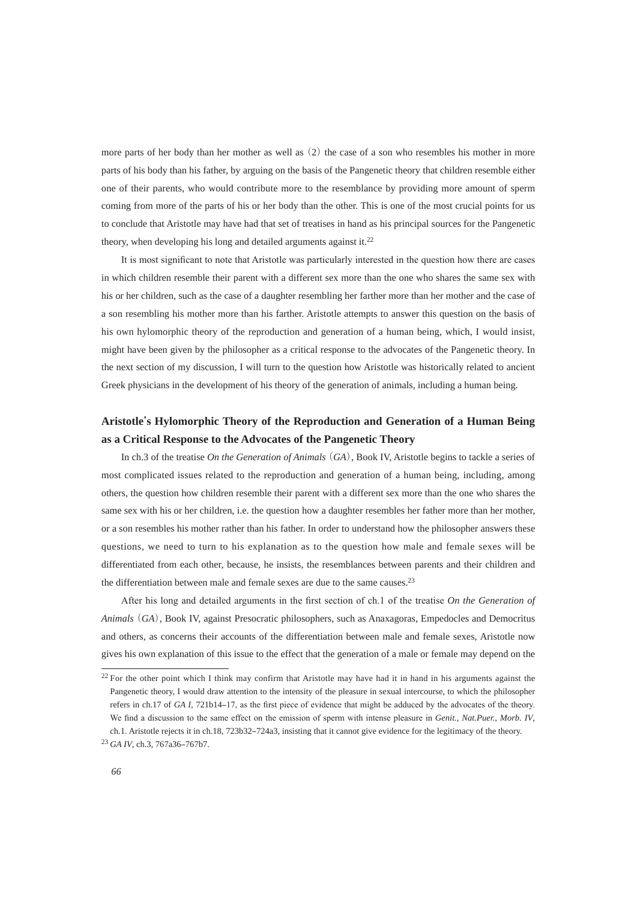more parts of her body than her mother as well as (2) the case of a son who resembles his mother in more parts of his body than his father, by arguing on the basis of the Pangenetic theory that children resemble either one of their parents, who would contribute more to the resemblance by providing more amount of sperm coming from more of the parts of his or her body than the other. This is one of the most crucial points for us to conclude that Aristotle may have had that set of treatises in hand as his principal sources for the Pangenetic theory, when developing his long and detailed arguments against it.<sup>22</sup>

It is most significant to note that Aristotle was particularly interested in the question how there are cases in which children resemble their parent with a different sex more than the one who shares the same sex with his or her children, such as the case of a daughter resembling her farther more than her mother and the case of a son resembling his mother more than his farther. Aristotle attempts to answer this question on the basis of his own hylomorphic theory of the reproduction and generation of a human being, which, I would insist, might have been given by the philosopher as a critical response to the advocates of the Pangenetic theory. In the next section of my discussion, I will turn to the question how Aristotle was historically related to ancient Greek physicians in the development of his theory of the generation of animals, including a human being.

## **Aristotle's Hylomorphic Theory of the Reproduction and Generation of a Human Being as a Critical Response to the Advocates of the Pangenetic Theory**

 In ch.3 of the treatise *On the Generation of Animals* (*GA*), Book IV, Aristotle begins to tackle a series of most complicated issues related to the reproduction and generation of a human being, including, among others, the question how children resemble their parent with a different sex more than the one who shares the same sex with his or her children, i.e. the question how a daughter resembles her father more than her mother, or a son resembles his mother rather than his father. In order to understand how the philosopher answers these questions, we need to turn to his explanation as to the question how male and female sexes will be differentiated from each other, because, he insists, the resemblances between parents and their children and the differentiation between male and female sexes are due to the same causes.<sup>23</sup>

After his long and detailed arguments in the first section of ch.1 of the treatise On the Generation of *Animals* (*GA*), Book IV, against Presocratic philosophers, such as Anaxagoras, Empedocles and Democritus and others, as concerns their accounts of the differentiation between male and female sexes, Aristotle now gives his own explanation of this issue to the effect that the generation of a male or female may depend on the

<sup>&</sup>lt;sup>22</sup> For the other point which I think may confirm that Aristotle may have had it in hand in his arguments against the Pangenetic theory, I would draw attention to the intensity of the pleasure in sexual intercourse, to which the philosopher refers in ch.17 of *GA I*, 721b14–17, as the first piece of evidence that might be adduced by the advocates of the theory. We find a discussion to the same effect on the emission of sperm with intense pleasure in *Genit., Nat.Puer., Morb. IV*, ch.1. Aristotle rejects it in ch.18, 723b32–724a3, insisting that it cannot give evidence for the legitimacy of the theory.

<sup>&</sup>lt;sup>23</sup> *GA IV*, ch.3, 767a36-767b7.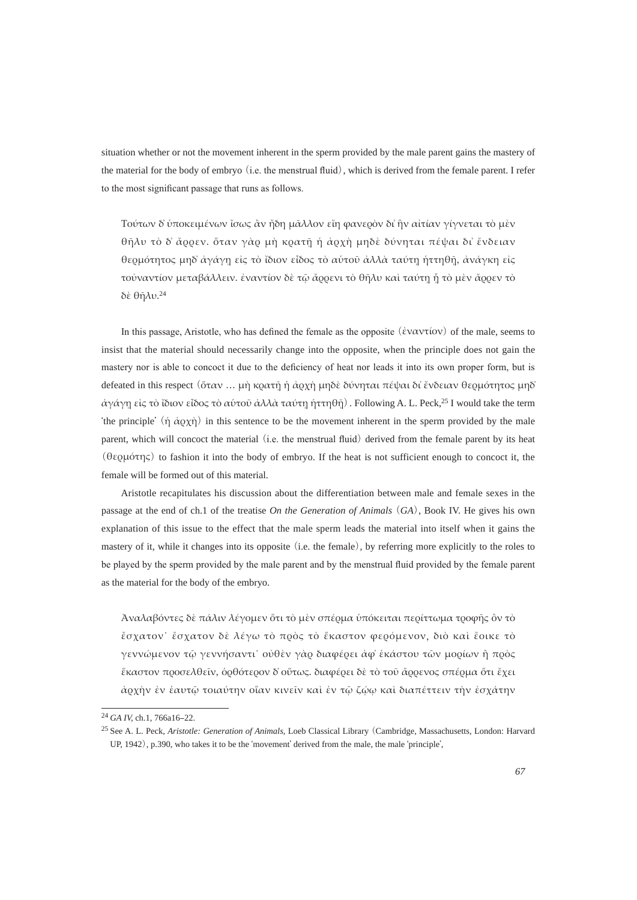situation whether or not the movement inherent in the sperm provided by the male parent gains the mastery of the material for the body of embryo  $(i.e.$  the menstrual fluid), which is derived from the female parent. I refer to the most significant passage that runs as follows.

Τούτων δ' ύποκειμένων ἴσως ἂν ἤδη μᾶλλον εἴη φανερὸν δι' ἣν αἰτίαν γίγνεται τὸ μὲν θήλυ τὸ δ' ἄρρεν. ὅταν γὰρ μὴ κρατῆ ή ἀρχὴ μηδὲ δύνηται πέψαι δι' ἔνδειαν θερμότητος μηδ άγάγη είς τὸ ἴδιον εἶδος τὸ αύτοῦ ἀλλὰ ταύτη ήττηθῆ, ἀνάγκη είς τοὐναντίον μεταβάλλειν. ἐναντίον δὲ τῷ ἄρρενι τὸ θῆλυ καὶ ταύτη ῆ τὸ μὲν ἄρρεν τὸ δὲ θῆλυ.<sup>24</sup>

In this passage, Aristotle, who has defined the female as the opposite  $(\dot{\varepsilon} \vee \alpha \vee \tau(\alpha \vee \alpha))$  of the male, seems to insist that the material should necessarily change into the opposite, when the principle does not gain the mastery nor is able to concoct it due to the deficiency of heat nor leads it into its own proper form, but is defeated in this respect (ὅταν ... μη κρατῆ ή ἀρχή μηδὲ δύνηται πέψαι δι ἔνδειαν θερμότητος μηδ'  $\dot{\alpha}$ γάγη είς τὸ ἴδιον εἶδος τὸ αύτοῦ ἀλλὰ ταύτη ἡττηθῆ). Following A. L. Peck,<sup>25</sup> I would take the term *the principle'* (ή  $\dot{\alpha}$ <sub>QX</sub>) in this sentence to be the movement inherent in the sperm provided by the male parent, which will concoct the material (i.e. the menstrual fluid) derived from the female parent by its heat (θερμότης) to fashion it into the body of embryo. If the heat is not sufficient enough to concoct it, the female will be formed out of this material.

 Aristotle recapitulates his discussion about the differentiation between male and female sexes in the passage at the end of ch.1 of the treatise *On the Generation of Animals* (*GA*), Book IV. He gives his own explanation of this issue to the effect that the male sperm leads the material into itself when it gains the mastery of it, while it changes into its opposite (i.e. the female), by referring more explicitly to the roles to be played by the sperm provided by the male parent and by the menstrual fluid provided by the female parent as the material for the body of the embryo.

Άναλαβόντες δὲ πάλιν λέγομεν ὅτι τὸ μὲν σπέρμα ὑπόκειται περίττωμα τροφῆς ὂν τὸ έσχατον έσχατον δε λέγω τὸ πρὸς τὸ ἕκαστον φερόμενον, διὸ καὶ ἔοικε τὸ γεννώμενον τῷ γεννήσαντι` οὐθὲν γὰρ διαφέρει ἀφ' ἑκάστου τῶν μορίων ἢ πρὸς ἕκαστον προσελθεῖν, ὁρθότερον δ' οὕτως. διαφέρει δὲ τὸ τοῦ ἆρρενος σπέρμα ὅτι ἔχει άρχὴν ἐν ἑαυτῷ τοιαύτην οἵαν κινεῖν καὶ ἐν τῷ ζώω καὶ διαπέττειν τὴν ἐσχάτην

<sup>&</sup>lt;sup>24</sup> *GA IV*, ch.1, 766a16-22.

<sup>25</sup> See A. L. Peck, *Aristotle: Generation of Animals*, Loeb Classical Library (Cambridge, Massachusetts, London: Harvard UP, 1942), p.390, who takes it to be the ʻmovement' derived from the male, the male ʻprinciple',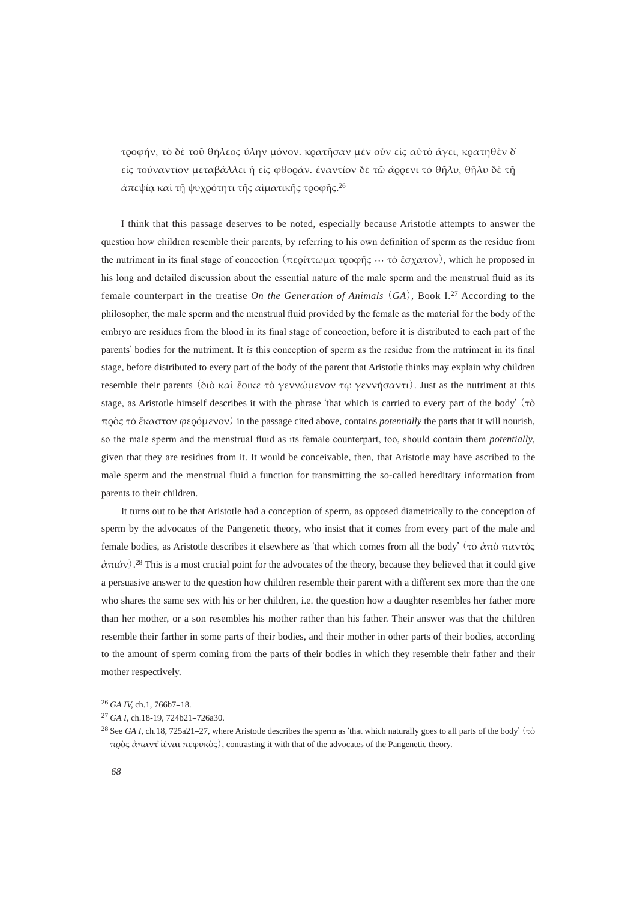τροφήν, τὸ δὲ τοῦ θήλεος ΰλην μόνον. κρατῆσαν μὲν οὖν εἰς αύτὸ ἄγει, κρατηθὲν δ είς τούναντίον μεταβάλλει ή είς φθοράν. έναντίον δε τῷ ἄρρενι τὸ θῆλυ, θῆλυ δε τῆ άπεψία και τη ψυχρότητι της αίματικής τροφής.<sup>26</sup>

 I think that this passage deserves to be noted, especially because Aristotle attempts to answer the question how children resemble their parents, by referring to his own definition of sperm as the residue from the nutriment in its final stage of concoction (περίττωμα τροφής ... τὸ ἔσχατον), which he proposed in his long and detailed discussion about the essential nature of the male sperm and the menstrual fluid as its female counterpart in the treatise *On the Generation of Animals* (*GA*), Book I.27 According to the philosopher, the male sperm and the menstrual fluid provided by the female as the material for the body of the embryo are residues from the blood in its final stage of concoction, before it is distributed to each part of the parents' bodies for the nutriment. It *is* this conception of sperm as the residue from the nutriment in its final stage, before distributed to every part of the body of the parent that Aristotle thinks may explain why children resemble their parents (διὸ καὶ ἔοικε τὸ γεννώμενον τῷ γεννήσαντι). Just as the nutriment at this stage, as Aristotle himself describes it with the phrase 'that which is carried to every part of the body' (τὸ πρός τὸ ἕκαστον φερόμενον) in the passage cited above, contains *potentially* the parts that it will nourish, so the male sperm and the menstrual fluid as its female counterpart, too, should contain them *potentially*, given that they are residues from it. It would be conceivable, then, that Aristotle may have ascribed to the male sperm and the menstrual fluid a function for transmitting the so-called hereditary information from parents to their children.

 It turns out to be that Aristotle had a conception of sperm, as opposed diametrically to the conception of sperm by the advocates of the Pangenetic theory, who insist that it comes from every part of the male and female bodies, as Aristotle describes it elsewhere as 'that which comes from all the body' (τὸ ἀπὸ παντὸς  $\alpha \pi$ ιόν).<sup>28</sup> This is a most crucial point for the advocates of the theory, because they believed that it could give a persuasive answer to the question how children resemble their parent with a different sex more than the one who shares the same sex with his or her children, i.e. the question how a daughter resembles her father more than her mother, or a son resembles his mother rather than his father. Their answer was that the children resemble their farther in some parts of their bodies, and their mother in other parts of their bodies, according to the amount of sperm coming from the parts of their bodies in which they resemble their father and their mother respectively.

<sup>&</sup>lt;sup>26</sup> *GA IV*, *ch.1*, 766b7-18.

<sup>&</sup>lt;sup>27</sup> *GA I*, ch.18-19, 724b21-726a30.

<sup>&</sup>lt;sup>28</sup> See *GA I*, ch.18, 725a21–27, where Aristotle describes the sperm as 'that which naturally goes to all parts of the body' (τὸ  $πρός δπαντ' ίέναι πεφυκός)$ , contrasting it with that of the advocates of the Pangenetic theory.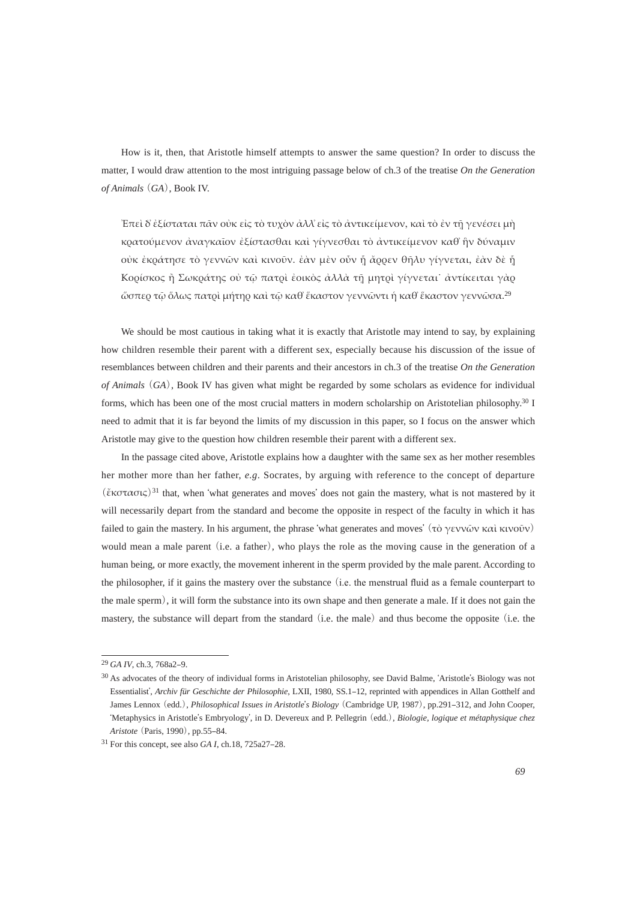How is it, then, that Aristotle himself attempts to answer the same question? In order to discuss the matter, I would draw attention to the most intriguing passage below of ch.3 of the treatise *On the Generation of Animals* (*GA*), Book IV.

Ἐπεὶ δ' ἐξίσταται πᾶν οὐκ εἰς τὸ τυχὸν ἀλλ' εἰς τὸ ἀντικείμενον, καὶ τὸ ἐν τῆ γενέσει μὴ κρατούμενον ἀναγκαῖον ἐξίστασθαι καὶ γίγνεσθαι τὸ ἀντικείμενον καθ' ἣν δύναμιν σύκ εκράτησε τὸ γεννῶν καὶ κινοῦν. ἐὰν μεν οὖν ή ἄρρεν θῆλυ γίγνεται, ἐὰν δε ή Κορίσκος ή Σωκράτης οὐ τῷ πατρὶ ἐοικὸς ἀλλὰ τῆ μητρὶ γίγνεται ἀντίκειται γὰρ ὤσπερ τῷ ὅλως πατρὶ μήτηρ καὶ τῷ καθ ἕκαστον γεννῶντι ή καθ ἕκαστον γεννῶσα.<sup>29</sup>

We should be most cautious in taking what it is exactly that Aristotle may intend to say, by explaining how children resemble their parent with a different sex, especially because his discussion of the issue of resemblances between children and their parents and their ancestors in ch.3 of the treatise *On the Generation of Animals* (*GA*), Book IV has given what might be regarded by some scholars as evidence for individual forms, which has been one of the most crucial matters in modern scholarship on Aristotelian philosophy.30 I need to admit that it is far beyond the limits of my discussion in this paper, so I focus on the answer which Aristotle may give to the question how children resemble their parent with a different sex.

 In the passage cited above, Aristotle explains how a daughter with the same sex as her mother resembles her mother more than her father, *e.g*. Socrates, by arguing with reference to the concept of departure (ἔκστασις)<sup>31</sup> that, when 'what generates and moves' does not gain the mastery, what is not mastered by it will necessarily depart from the standard and become the opposite in respect of the faculty in which it has failed to gain the mastery. In his argument, the phrase 'what generates and moves' (τὸ γεννῶν καὶ κινοῦν) would mean a male parent (i.e. a father), who plays the role as the moving cause in the generation of a human being, or more exactly, the movement inherent in the sperm provided by the male parent. According to the philosopher, if it gains the mastery over the substance (i.e. the menstrual fluid as a female counterpart to the male sperm), it will form the substance into its own shape and then generate a male. If it does not gain the mastery, the substance will depart from the standard (i.e. the male) and thus become the opposite (i.e. the

<sup>&</sup>lt;sup>29</sup> *GA IV*, ch.3, 768a2-9.

<sup>30</sup> As advocates of the theory of individual forms in Aristotelian philosophy, see David Balme, ʻAristotle's Biology was not Essentialist', *Archiv für Geschichte der Philosophie*, LXII, 1980, SS.1-12, reprinted with appendices in Allan Gotthelf and James Lennox (edd.), *Philosophical Issues in Aristotle's Biology* (Cambridge UP, 1987), pp.291-312, and John Cooper, ʻMetaphysics in Aristotle's Embryology', in D. Devereux and P. Pellegrin (edd.), *Biologie, logique et métaphysique chez Aristote* (Paris, 1990), pp.55-84.

<sup>&</sup>lt;sup>31</sup> For this concept, see also *GA I*, ch.18, 725a27-28.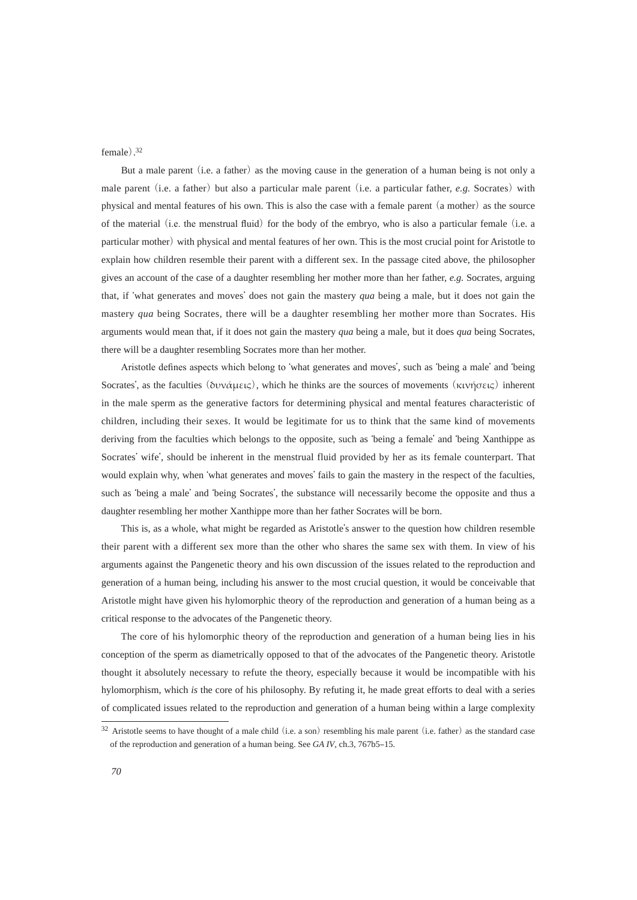#### female). 32

 But a male parent (i.e. a father) as the moving cause in the generation of a human being is not only a male parent (i.e. a father) but also a particular male parent (i.e. a particular father, *e.g.* Socrates) with physical and mental features of his own. This is also the case with a female parent (a mother) as the source of the material (i.e. the menstrual fluid) for the body of the embryo, who is also a particular female (i.e. a particular mother) with physical and mental features of her own. This is the most crucial point for Aristotle to explain how children resemble their parent with a different sex. In the passage cited above, the philosopher gives an account of the case of a daughter resembling her mother more than her father, *e.g.* Socrates, arguing that, if ʻwhat generates and moves' does not gain the mastery *qua* being a male, but it does not gain the mastery *qua* being Socrates, there will be a daughter resembling her mother more than Socrates. His arguments would mean that, if it does not gain the mastery *qua* being a male, but it does *qua* being Socrates, there will be a daughter resembling Socrates more than her mother.

Aristotle defines aspects which belong to 'what generates and moves', such as 'being a male' and 'being Socrates', as the faculties (δυνάμεις), which he thinks are the sources of movements (κινήσεις) inherent in the male sperm as the generative factors for determining physical and mental features characteristic of children, including their sexes. It would be legitimate for us to think that the same kind of movements deriving from the faculties which belongs to the opposite, such as ʻbeing a female' and ʻbeing Xanthippe as Socrates' wife', should be inherent in the menstrual fluid provided by her as its female counterpart. That would explain why, when ʻwhat generates and moves' fails to gain the mastery in the respect of the faculties, such as ʻbeing a male' and ʻbeing Socrates', the substance will necessarily become the opposite and thus a daughter resembling her mother Xanthippe more than her father Socrates will be born.

 This is, as a whole, what might be regarded as Aristotle's answer to the question how children resemble their parent with a different sex more than the other who shares the same sex with them. In view of his arguments against the Pangenetic theory and his own discussion of the issues related to the reproduction and generation of a human being, including his answer to the most crucial question, it would be conceivable that Aristotle might have given his hylomorphic theory of the reproduction and generation of a human being as a critical response to the advocates of the Pangenetic theory.

 The core of his hylomorphic theory of the reproduction and generation of a human being lies in his conception of the sperm as diametrically opposed to that of the advocates of the Pangenetic theory. Aristotle thought it absolutely necessary to refute the theory, especially because it would be incompatible with his hylomorphism, which *is* the core of his philosophy. By refuting it, he made great efforts to deal with a series of complicated issues related to the reproduction and generation of a human being within a large complexity

<sup>&</sup>lt;sup>32</sup> Aristotle seems to have thought of a male child (i.e. a son) resembling his male parent (i.e. father) as the standard case of the reproduction and generation of a human being. See *GA IV*, ch.3, 767b5–15.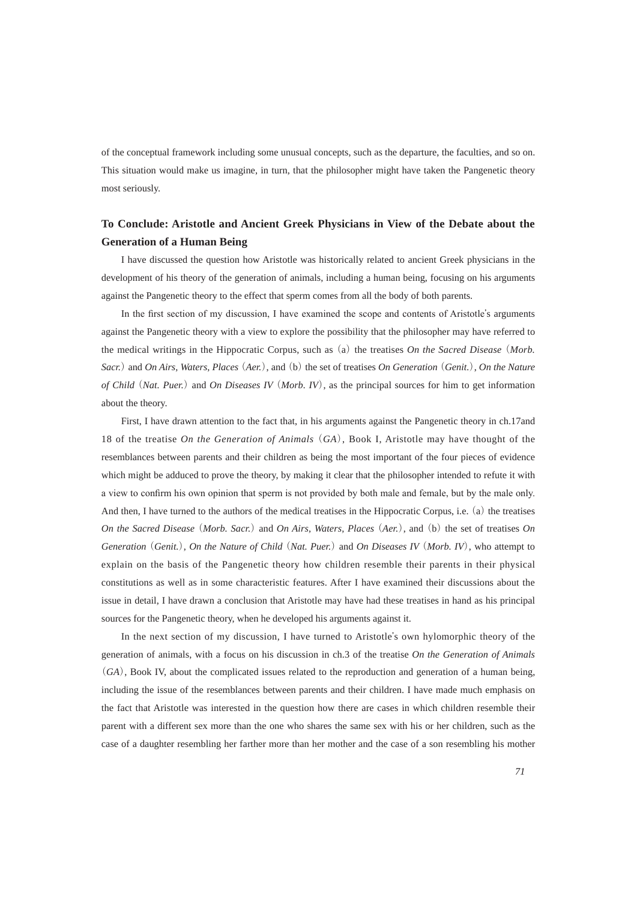of the conceptual framework including some unusual concepts, such as the departure, the faculties, and so on. This situation would make us imagine, in turn, that the philosopher might have taken the Pangenetic theory most seriously.

## **To Conclude: Aristotle and Ancient Greek Physicians in View of the Debate about the Generation of a Human Being**

 I have discussed the question how Aristotle was historically related to ancient Greek physicians in the development of his theory of the generation of animals, including a human being, focusing on his arguments against the Pangenetic theory to the effect that sperm comes from all the body of both parents.

In the first section of my discussion, I have examined the scope and contents of Aristotle's arguments against the Pangenetic theory with a view to explore the possibility that the philosopher may have referred to the medical writings in the Hippocratic Corpus, such as (a) the treatises *On the Sacred Disease* (*Morb. Sacr.*) and *On Airs, Waters, Places* (*Aer.*), and (b) the set of treatises *On Generation* (*Genit.*), *On the Nature of Child* (*Nat. Puer.*)and *On Diseases IV* (*Morb. IV*), as the principal sources for him to get information about the theory.

 First, I have drawn attention to the fact that, in his arguments against the Pangenetic theory in ch.17and 18 of the treatise *On the Generation of Animals* (*GA*), Book I, Aristotle may have thought of the resemblances between parents and their children as being the most important of the four pieces of evidence which might be adduced to prove the theory, by making it clear that the philosopher intended to refute it with a view to confirm his own opinion that sperm is not provided by both male and female, but by the male only. And then, I have turned to the authors of the medical treatises in the Hippocratic Corpus, i.e. (a) the treatises *On the Sacred Disease* (*Morb. Sacr.*) and *On Airs, Waters, Places* (*Aer.*), and (b) the set of treatises *On Generation* (*Genit.*), *On the Nature of Child* (*Nat. Puer.*) and *On Diseases IV* (*Morb. IV*), who attempt to explain on the basis of the Pangenetic theory how children resemble their parents in their physical constitutions as well as in some characteristic features. After I have examined their discussions about the issue in detail, I have drawn a conclusion that Aristotle may have had these treatises in hand as his principal sources for the Pangenetic theory, when he developed his arguments against it.

 In the next section of my discussion, I have turned to Aristotle's own hylomorphic theory of the generation of animals, with a focus on his discussion in ch.3 of the treatise *On the Generation of Animals*  (*GA*), Book IV, about the complicated issues related to the reproduction and generation of a human being, including the issue of the resemblances between parents and their children. I have made much emphasis on the fact that Aristotle was interested in the question how there are cases in which children resemble their parent with a different sex more than the one who shares the same sex with his or her children, such as the case of a daughter resembling her farther more than her mother and the case of a son resembling his mother